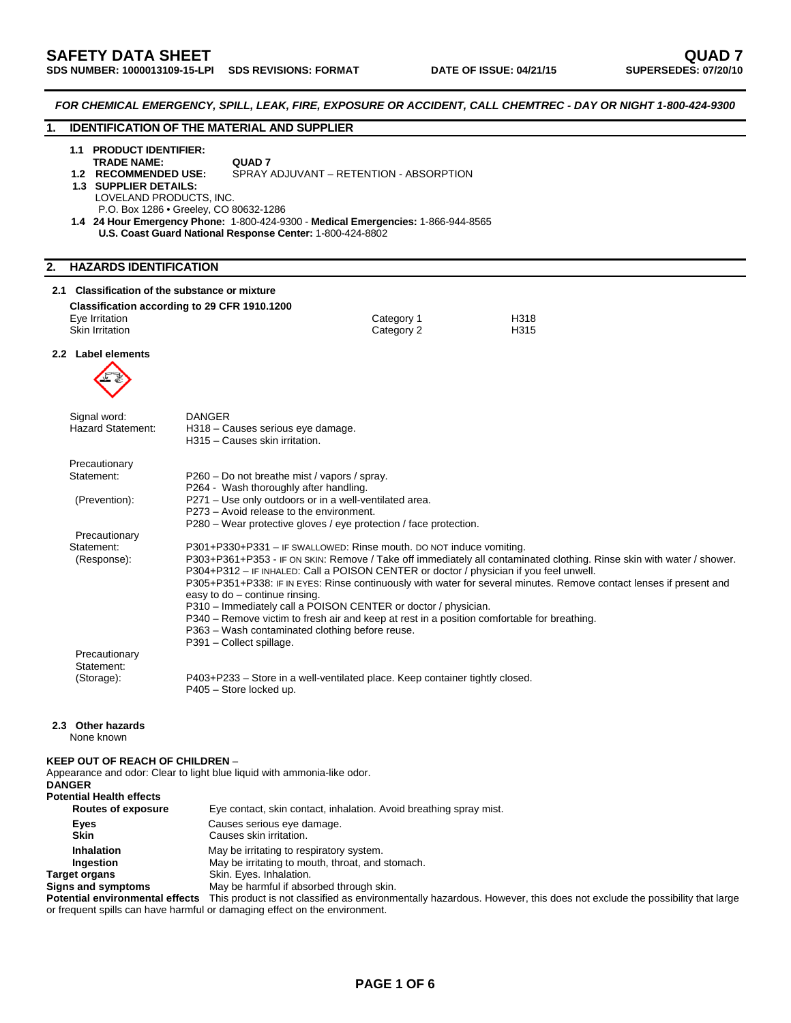*FOR CHEMICAL EMERGENCY, SPILL, LEAK, FIRE, EXPOSURE OR ACCIDENT, CALL CHEMTREC - DAY OR NIGHT 1-800-424-9300*  **1. IDENTIFICATION OF THE MATERIAL AND SUPPLIER 1.1 PRODUCT IDENTIFIER: TRADE NAME: QUAD 7**<br>1.2 RECOMMENDED USE: SPRAY **SPRAY ADJUVANT – RETENTION - ABSORPTION 1.3 SUPPLIER DETAILS: LOVELAND PRODUCTS, INC.**  P.O. Box 1286 • Greeley, CO 80632-1286 **1.4 24 Hour Emergency Phone:** 1-800-424-9300 - **Medical Emergencies:** 1-866-944-8565 **U.S. Coast Guard National Response Center:** 1-800-424-8802 **2. HAZARDS IDENTIFICATION 2.1 Classification of the substance or mixture Classification according to 29 CFR 1910.1200**  Eye Irritation Category 1 H318 Skin Irritation **Category 2** H315 **2.2 Label elements**  Signal word: DANGER Hazard Statement: H318 – Causes serious eye damage. H315 – Causes skin irritation. **Precautionary**  Statement: P260 – Do not breathe mist / vapors / spray. P264 - Wash thoroughly after handling. (Prevention): P271 – Use only outdoors or in a well-ventilated area. P273 – Avoid release to the environment. P280 – Wear protective gloves / eye protection / face protection. Precautionary Statement: P301+P330+P331 – IF SWALLOWED: Rinse mouth. DO NOT induce vomiting. (Response): P303+P361+P353 - IF ON SKIN: Remove / Take off immediately all contaminated clothing. Rinse skin with water / shower. P304+P312 – IF INHALED: Call a POISON CENTER or doctor / physician if you feel unwell. P305+P351+P338: IF IN EYES: Rinse continuously with water for several minutes. Remove contact lenses if present and easy to do – continue rinsing. P310 – Immediately call a POISON CENTER or doctor / physician. P340 – Remove victim to fresh air and keep at rest in a position comfortable for breathing. P363 – Wash contaminated clothing before reuse. P391 – Collect spillage. Precautionary Statement: (Storage): P403+P233 – Store in a well-ventilated place. Keep container tightly closed. P405 – Store locked up. **2.3 Other hazards**  None known **KEEP OUT OF REACH OF CHILDREN** – Appearance and odor: Clear to light blue liquid with ammonia-like odor. **DANGER Potential Health effects**  Eye contact, skin contact, inhalation. Avoid breathing spray mist. **Eyes Exercise Exercise Eyes Causes serious eye damage. Skin Causes skin irritation. Inhalation May be irritating to respiratory system.**<br> **Ingestion May be irritating to mouth, throat, and** May be irritating to mouth, throat, and stomach. **Target organs** Skin. Eyes. Inhalation. **Signs and symptoms** May be harmful if absorbed through skin. **Potential environmental effects** This product is not classified as environmentally hazardous. However, this does not exclude the possibility that large or frequent spills can have harmful or damaging effect on the environment.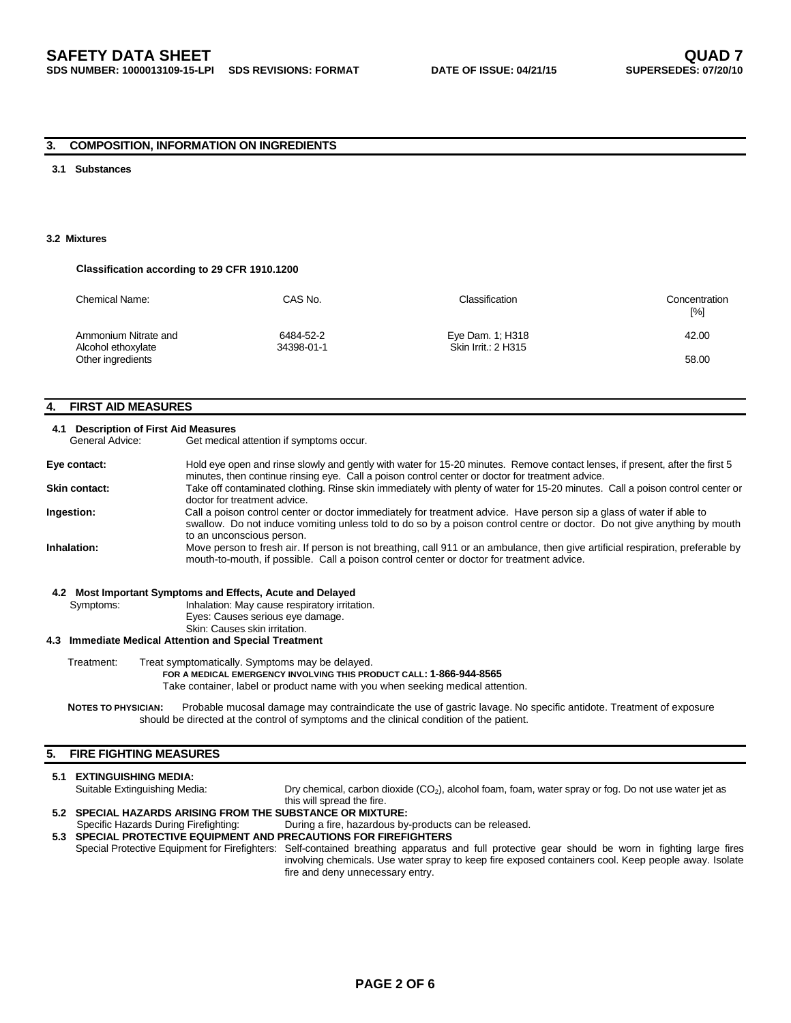## **3. COMPOSITION, INFORMATION ON INGREDIENTS**

#### **3.1 Substances**

#### **3.2 Mixtures**

#### **Classification according to 29 CFR 1910.1200**

| Chemical Name:                          | CAS No.    | Classification      | Concentration<br>[%] |
|-----------------------------------------|------------|---------------------|----------------------|
| Ammonium Nitrate and                    | 6484-52-2  | Eye Dam. 1; H318    | 42.00                |
| Alcohol ethoxylate<br>Other ingredients | 34398-01-1 | Skin Irrit.: 2 H315 | 58.00                |

## **4. FIRST AID MEASURES**

#### **4.1 Description of First Aid Measures**

General Advice: Get medical attention if symptoms occur.

| Eye contact:  | Hold eye open and rinse slowly and gently with water for 15-20 minutes. Remove contact lenses, if present, after the first 5<br>minutes, then continue rinsing eye. Call a poison control center or doctor for treatment advice.                                              |
|---------------|-------------------------------------------------------------------------------------------------------------------------------------------------------------------------------------------------------------------------------------------------------------------------------|
| Skin contact: | Take off contaminated clothing. Rinse skin immediately with plenty of water for 15-20 minutes. Call a poison control center or<br>doctor for treatment advice.                                                                                                                |
| Ingestion:    | Call a poison control center or doctor immediately for treatment advice. Have person sip a glass of water if able to<br>swallow. Do not induce vomiting unless told to do so by a poison control centre or doctor. Do not give anything by mouth<br>to an unconscious person. |
| Inhalation:   | Move person to fresh air. If person is not breathing, call 911 or an ambulance, then give artificial respiration, preferable by<br>mouth-to-mouth, if possible. Call a poison control center or doctor for treatment advice.                                                  |

#### **4.2 Most Important Symptoms and Effects, Acute and Delayed**

Symptoms: Inhalation: May cause respiratory irritation.

Eyes: Causes serious eye damage.

Skin: Causes skin irritation.

### **4.3 Immediate Medical Attention and Special Treatment**

Treatment: Treat symptomatically. Symptoms may be delayed.  **FOR A MEDICAL EMERGENCY INVOLVING THIS PRODUCT CALL: 1-866-944-8565** 

Take container, label or product name with you when seeking medical attention.

NOTES TO PHYSICIAN: Probable mucosal damage may contraindicate the use of gastric lavage. No specific antidote. Treatment of exposure should be directed at the control of symptoms and the clinical condition of the patient.

## **5. FIRE FIGHTING MEASURES**

#### **5.1 EXTINGUISHING MEDIA:**<br>Suitable Extinguishing Media: Dry chemical, carbon dioxide (CO<sub>2</sub>), alcohol foam, foam, water spray or fog. Do not use water jet as this will spread the fire. **5.2 SPECIAL HAZARDS ARISING FROM THE SUBSTANCE OR MIXTURE:**

- Specific Hazards During Firefighting: During a fire, hazardous by-products can be released.
- **5.3 SPECIAL PROTECTIVE EQUIPMENT AND PRECAUTIONS FOR FIREFIGHTERS**  Special Protective Equipment for Firefighters: Self-contained breathing apparatus and full protective gear should be worn in fighting large fires involving chemicals. Use water spray to keep fire exposed containers cool. Keep people away. Isolate fire and deny unnecessary entry.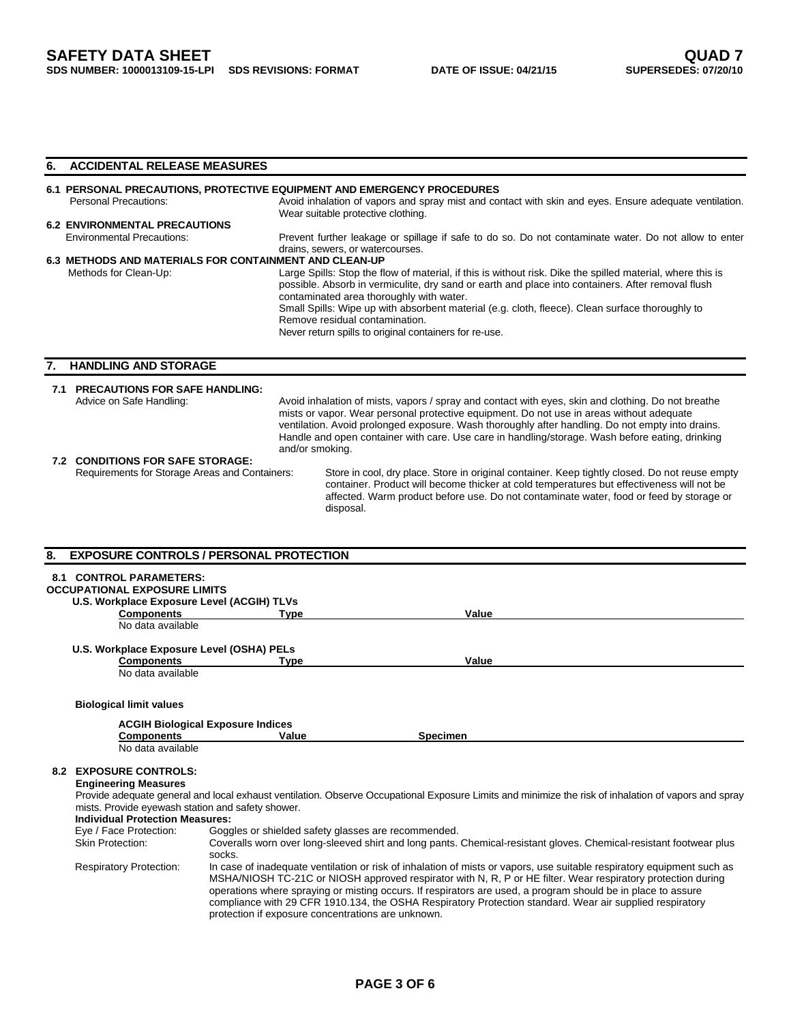## **6. ACCIDENTAL RELEASE MEASURES**

# **6.1 PERSONAL PRECAUTIONS, PROTECTIVE EQUIPMENT AND EMERGENCY PROCEDURES**

| <b>Personal Precautions:</b>                           | Avoid inhalation of vapors and spray mist and contact with skin and eyes. Ensure adequate ventilation.<br>Wear suitable protective clothing.                                                                                                                                                                                                                                                                                                               |
|--------------------------------------------------------|------------------------------------------------------------------------------------------------------------------------------------------------------------------------------------------------------------------------------------------------------------------------------------------------------------------------------------------------------------------------------------------------------------------------------------------------------------|
| <b>6.2 ENVIRONMENTAL PRECAUTIONS</b>                   |                                                                                                                                                                                                                                                                                                                                                                                                                                                            |
|                                                        |                                                                                                                                                                                                                                                                                                                                                                                                                                                            |
| <b>Environmental Precautions:</b>                      | Prevent further leakage or spillage if safe to do so. Do not contaminate water. Do not allow to enter                                                                                                                                                                                                                                                                                                                                                      |
|                                                        | drains, sewers, or watercourses.                                                                                                                                                                                                                                                                                                                                                                                                                           |
| 6.3 METHODS AND MATERIALS FOR CONTAINMENT AND CLEAN-UP |                                                                                                                                                                                                                                                                                                                                                                                                                                                            |
| Methods for Clean-Up:                                  | Large Spills: Stop the flow of material, if this is without risk. Dike the spilled material, where this is<br>possible. Absorb in vermiculite, dry sand or earth and place into containers. After removal flush<br>contaminated area thoroughly with water.<br>Small Spills: Wipe up with absorbent material (e.g. cloth, fleece). Clean surface thoroughly to<br>Remove residual contamination.<br>Never return spills to original containers for re-use. |
|                                                        |                                                                                                                                                                                                                                                                                                                                                                                                                                                            |

## **7. HANDLING AND STORAGE**

| <b>PRECAUTIONS FOR SAFE HANDLING:</b><br>Advice on Safe Handling: | and/or smoking. | Avoid inhalation of mists, vapors / spray and contact with eyes, skin and clothing. Do not breathe<br>mists or vapor. Wear personal protective equipment. Do not use in areas without adequate<br>ventilation. Avoid prolonged exposure. Wash thoroughly after handling. Do not empty into drains.<br>Handle and open container with care. Use care in handling/storage. Wash before eating, drinking |
|-------------------------------------------------------------------|-----------------|-------------------------------------------------------------------------------------------------------------------------------------------------------------------------------------------------------------------------------------------------------------------------------------------------------------------------------------------------------------------------------------------------------|
| <b>7.2 CONDITIONS FOR SAFE STORAGE:</b>                           |                 |                                                                                                                                                                                                                                                                                                                                                                                                       |
| Requirements for Storage Areas and Containers:                    |                 | Store in cool, dry place. Store in original container. Keep tightly closed. Do not reuse empty<br>container. Product will become thicker at cold temperatures but effectiveness will not be<br>affected. Warm product before use. Do not contaminate water, food or feed by storage or<br>disposal.                                                                                                   |

| 8. |                                                   | <b>EXPOSURE CONTROLS / PERSONAL PROTECTION</b>      |                                                                                                                                                                                                                                                                                                                                                                                                                                                                    |
|----|---------------------------------------------------|-----------------------------------------------------|--------------------------------------------------------------------------------------------------------------------------------------------------------------------------------------------------------------------------------------------------------------------------------------------------------------------------------------------------------------------------------------------------------------------------------------------------------------------|
|    | <b>8.1 CONTROL PARAMETERS:</b>                    |                                                     |                                                                                                                                                                                                                                                                                                                                                                                                                                                                    |
|    | <b>OCCUPATIONAL EXPOSURE LIMITS</b>               |                                                     |                                                                                                                                                                                                                                                                                                                                                                                                                                                                    |
|    | U.S. Workplace Exposure Level (ACGIH) TLVs        |                                                     |                                                                                                                                                                                                                                                                                                                                                                                                                                                                    |
|    | <b>Components</b>                                 | Type                                                | Value                                                                                                                                                                                                                                                                                                                                                                                                                                                              |
|    | No data available                                 |                                                     |                                                                                                                                                                                                                                                                                                                                                                                                                                                                    |
|    | U.S. Workplace Exposure Level (OSHA) PELs         |                                                     |                                                                                                                                                                                                                                                                                                                                                                                                                                                                    |
|    | <b>Components</b>                                 | <b>Type</b>                                         | Value                                                                                                                                                                                                                                                                                                                                                                                                                                                              |
|    | No data available                                 |                                                     |                                                                                                                                                                                                                                                                                                                                                                                                                                                                    |
|    | <b>Biological limit values</b>                    |                                                     |                                                                                                                                                                                                                                                                                                                                                                                                                                                                    |
|    |                                                   | <b>ACGIH Biological Exposure Indices</b>            |                                                                                                                                                                                                                                                                                                                                                                                                                                                                    |
|    | <b>Components</b>                                 | Value                                               | <b>Specimen</b>                                                                                                                                                                                                                                                                                                                                                                                                                                                    |
|    | No data available                                 |                                                     |                                                                                                                                                                                                                                                                                                                                                                                                                                                                    |
|    |                                                   |                                                     |                                                                                                                                                                                                                                                                                                                                                                                                                                                                    |
|    | <b>8.2 EXPOSURE CONTROLS:</b>                     |                                                     |                                                                                                                                                                                                                                                                                                                                                                                                                                                                    |
|    | <b>Engineering Measures</b>                       |                                                     |                                                                                                                                                                                                                                                                                                                                                                                                                                                                    |
|    | mists. Provide eyewash station and safety shower. |                                                     | Provide adequate general and local exhaust ventilation. Observe Occupational Exposure Limits and minimize the risk of inhalation of vapors and spray                                                                                                                                                                                                                                                                                                               |
|    | <b>Individual Protection Measures:</b>            |                                                     |                                                                                                                                                                                                                                                                                                                                                                                                                                                                    |
|    | Eye / Face Protection:                            | Goggles or shielded safety glasses are recommended. |                                                                                                                                                                                                                                                                                                                                                                                                                                                                    |
|    | <b>Skin Protection:</b>                           | socks.                                              | Coveralls worn over long-sleeved shirt and long pants. Chemical-resistant gloves. Chemical-resistant footwear plus                                                                                                                                                                                                                                                                                                                                                 |
|    | <b>Respiratory Protection:</b>                    | protection if exposure concentrations are unknown.  | In case of inadequate ventilation or risk of inhalation of mists or vapors, use suitable respiratory equipment such as<br>MSHA/NIOSH TC-21C or NIOSH approved respirator with N, R, P or HE filter. Wear respiratory protection during<br>operations where spraying or misting occurs. If respirators are used, a program should be in place to assure<br>compliance with 29 CFR 1910.134, the OSHA Respiratory Protection standard. Wear air supplied respiratory |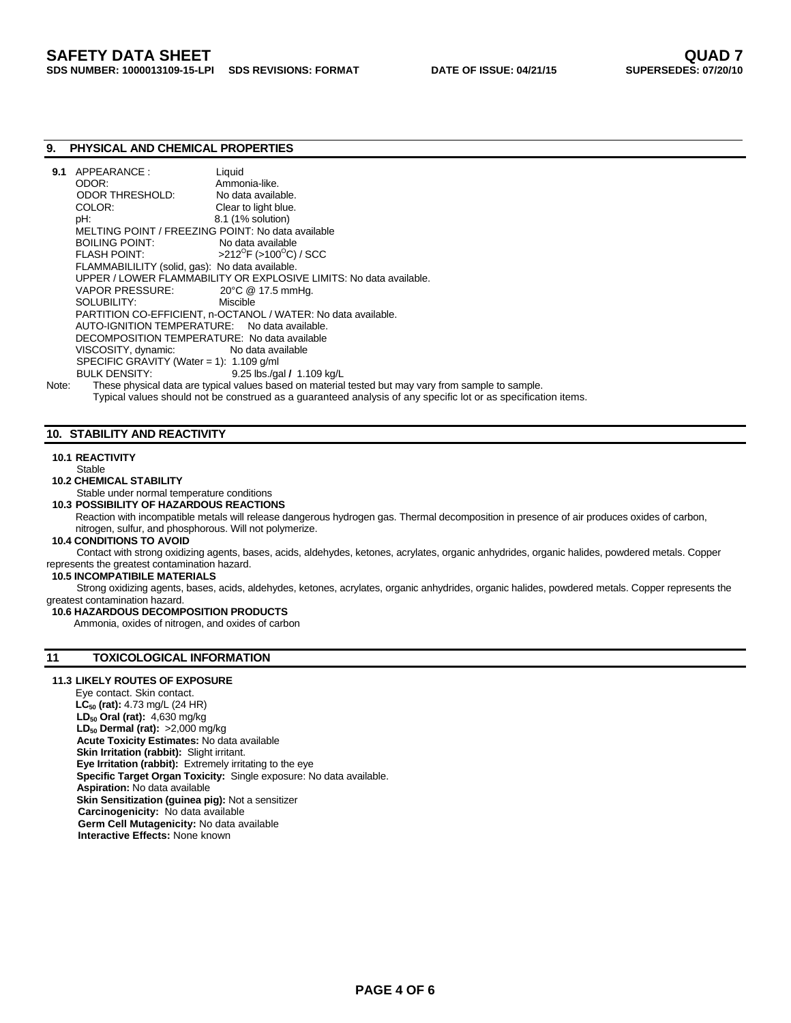## **9. PHYSICAL AND CHEMICAL PROPERTIES**

| 9.1   | APPEARANCE:                                                   | Liquid                                                                                              |  |  |
|-------|---------------------------------------------------------------|-----------------------------------------------------------------------------------------------------|--|--|
|       | ODOR:                                                         | Ammonia-like.                                                                                       |  |  |
|       | <b>ODOR THRESHOLD:</b>                                        | No data available.                                                                                  |  |  |
|       | COLOR:                                                        | Clear to light blue.                                                                                |  |  |
|       | pH:                                                           | 8.1 (1% solution)                                                                                   |  |  |
|       | MELTING POINT / FREEZING POINT: No data available             |                                                                                                     |  |  |
|       | <b>BOILING POINT:</b>                                         | No data available                                                                                   |  |  |
|       | <b>FLASH POINT:</b>                                           | $>212^{\circ}$ F ( $>100^{\circ}$ C) / SCC                                                          |  |  |
|       | FLAMMABILILITY (solid, gas): No data available.               |                                                                                                     |  |  |
|       |                                                               | UPPER / LOWER FLAMMABILITY OR EXPLOSIVE LIMITS: No data available.                                  |  |  |
|       | VAPOR PRESSURE: 20°C @ 17.5 mmHg.                             |                                                                                                     |  |  |
|       | SOLUBILITY: SOLUBILITY:                                       | Miscible                                                                                            |  |  |
|       | PARTITION CO-EFFICIENT, n-OCTANOL / WATER: No data available. |                                                                                                     |  |  |
|       | AUTO-IGNITION TEMPERATURE: No data available.                 |                                                                                                     |  |  |
|       | DECOMPOSITION TEMPERATURE: No data available                  |                                                                                                     |  |  |
|       | VISCOSITY, dynamic: No data available                         |                                                                                                     |  |  |
|       | SPECIFIC GRAVITY (Water = 1): $1.109$ g/ml                    |                                                                                                     |  |  |
|       | BULK DENSITY: NORTH THE SALE IS A STRUCK OF THE STRUCK.       | 9.25 lbs./gal / 1.109 kg/L                                                                          |  |  |
| Note: |                                                               | These physical data are typical values based on material tested but may vary from sample to sample. |  |  |

Typical values should not be construed as a guaranteed analysis of any specific lot or as specification items.

## **10. STABILITY AND REACTIVITY**

#### **10.1 REACTIVITY**

### Stable

## **10.2 CHEMICAL STABILITY**

#### Stable under normal temperature conditions **10.3 POSSIBILITY OF HAZARDOUS REACTIONS**

Reaction with incompatible metals will release dangerous hydrogen gas. Thermal decomposition in presence of air produces oxides of carbon, nitrogen, sulfur, and phosphorous. Will not polymerize.

## **10.4 CONDITIONS TO AVOID**

Contact with strong oxidizing agents, bases, acids, aldehydes, ketones, acrylates, organic anhydrides, organic halides, powdered metals. Copper represents the greatest contamination hazard.

## **10.5 INCOMPATIBILE MATERIALS**

 Strong oxidizing agents, bases, acids, aldehydes, ketones, acrylates, organic anhydrides, organic halides, powdered metals. Copper represents the greatest contamination hazard.

## **10.6 HAZARDOUS DECOMPOSITION PRODUCTS**

Ammonia, oxides of nitrogen, and oxides of carbon

## **11 TOXICOLOGICAL INFORMATION**

## **11.3 LIKELY ROUTES OF EXPOSURE**

Eye contact. Skin contact. **LC50 (rat):** 4.73 mg/L (24 HR) **LD<sub>50</sub> Oral (rat):** 4,630 mg/kg **LD<sub>50</sub> Dermal (rat): >2,000 mg/kg Acute Toxicity Estimates:** No data available **Skin Irritation (rabbit):** Slight irritant.  **Eye Irritation (rabbit):** Extremely irritating to the eye  **Specific Target Organ Toxicity:** Single exposure: No data available. **Aspiration:** No data available **Skin Sensitization (guinea pig):** Not a sensitizer  **Carcinogenicity:** No data available **Germ Cell Mutagenicity:** No data available **Interactive Effects:** None known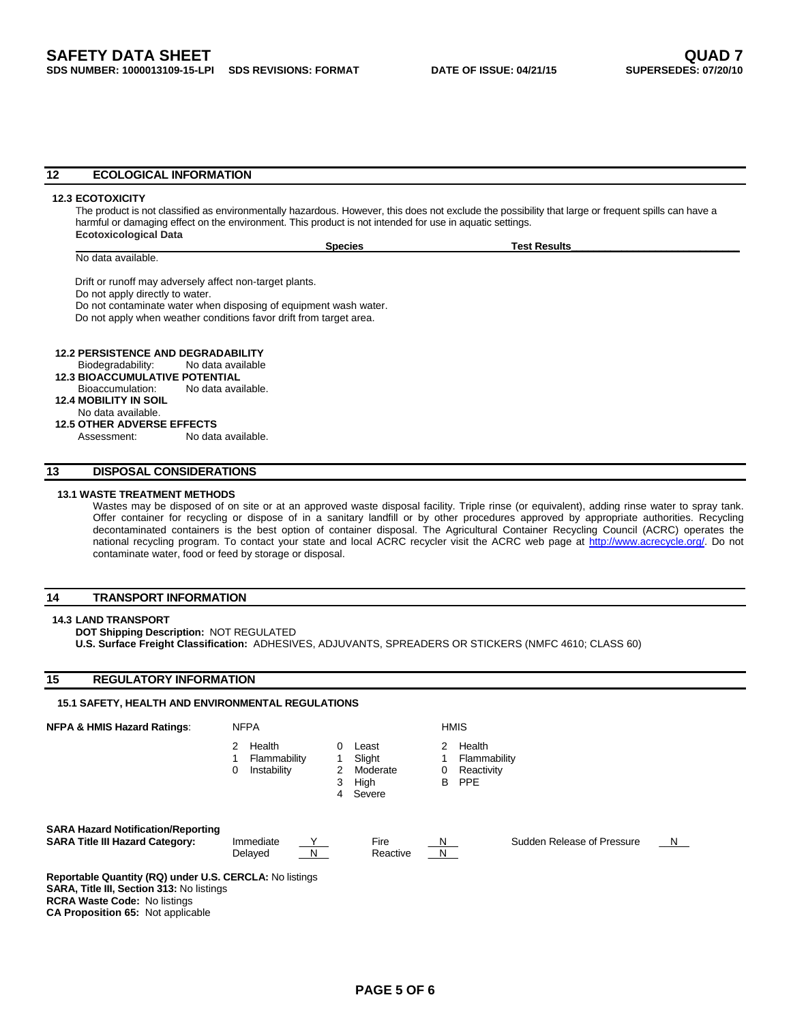#### **12 ECOLOGICAL INFORMATION**

#### **12.3 ECOTOXICITY**

The product is not classified as environmentally hazardous. However, this does not exclude the possibility that large or frequent spills can have a harmful or damaging effect on the environment. This product is not intended for use in aquatic settings. **Ecotoxicological Data** 

 **Species Test Results\_\_\_\_\_\_\_\_\_\_\_\_\_\_\_\_\_\_\_\_\_\_\_\_\_\_\_\_\_\_** 

No data available.

Drift or runoff may adversely affect non-target plants.

Do not apply directly to water.

Do not contaminate water when disposing of equipment wash water. Do not apply when weather conditions favor drift from target area.

 **12.2 PERSISTENCE AND DEGRADABILITY** 

### Biodegradability: No data available

 **12.3 BIOACCUMULATIVE POTENTIAL**

 Bioaccumulation: No data available. **12.4 MOBILITY IN SOIL**

## No data available.

**12.5 OTHER ADVERSE EFFECTS** 

Assessment: No data available.

## **13 DISPOSAL CONSIDERATIONS**

### **13.1 WASTE TREATMENT METHODS**

Wastes may be disposed of on site or at an approved waste disposal facility. Triple rinse (or equivalent), adding rinse water to spray tank. Offer container for recycling or dispose of in a sanitary landfill or by other procedures approved by appropriate authorities. Recycling decontaminated containers is the best option of container disposal. The Agricultural Container Recycling Council (ACRC) operates the national recycling program. To contact your state and local ACRC recycler visit the ACRC web page at http://www.acrecycle.org/. Do not contaminate water, food or feed by storage or disposal.

## **14 TRANSPORT INFORMATION**

#### **14.3 LAND TRANSPORT**

**DOT Shipping Description:** NOT REGULATED

**U.S. Surface Freight Classification:** ADHESIVES, ADJUVANTS, SPREADERS OR STICKERS (NMFC 4610; CLASS 60)

## **15 REGULATORY INFORMATION**

## **15.1 SAFETY, HEALTH AND ENVIRONMENTAL REGULATIONS**

**NFPA & HMIS Hazard Ratings: NEPA HMIS HOT ALL AND HAVIS HAVIS** 2 Health 0 Least 2 Health 1 Flammability 1 Slight 1 Flammability 0 Instability 2 Moderate 0 Reactivity 3 High B PPE 4 Severe **SARA Hazard Notification/Reporting SARA Title III Hazard Category:** Immediate  $\frac{Y}{Y}$  Fire  $\frac{N}{Y}$  Sudden Release of Pressure  $\frac{N}{Y}$  $\blacksquare$  Delayed  $\blacksquare$   $\blacksquare$   $\blacksquare$  Reactive  $\blacksquare$   $\blacksquare$ **Reportable Quantity (RQ) under U.S. CERCLA:** No listings **SARA, Title III, Section 313:** No listings **RCRA Waste Code:** No listings

**CA Proposition 65:** Not applicable

- 
- 
- 
-